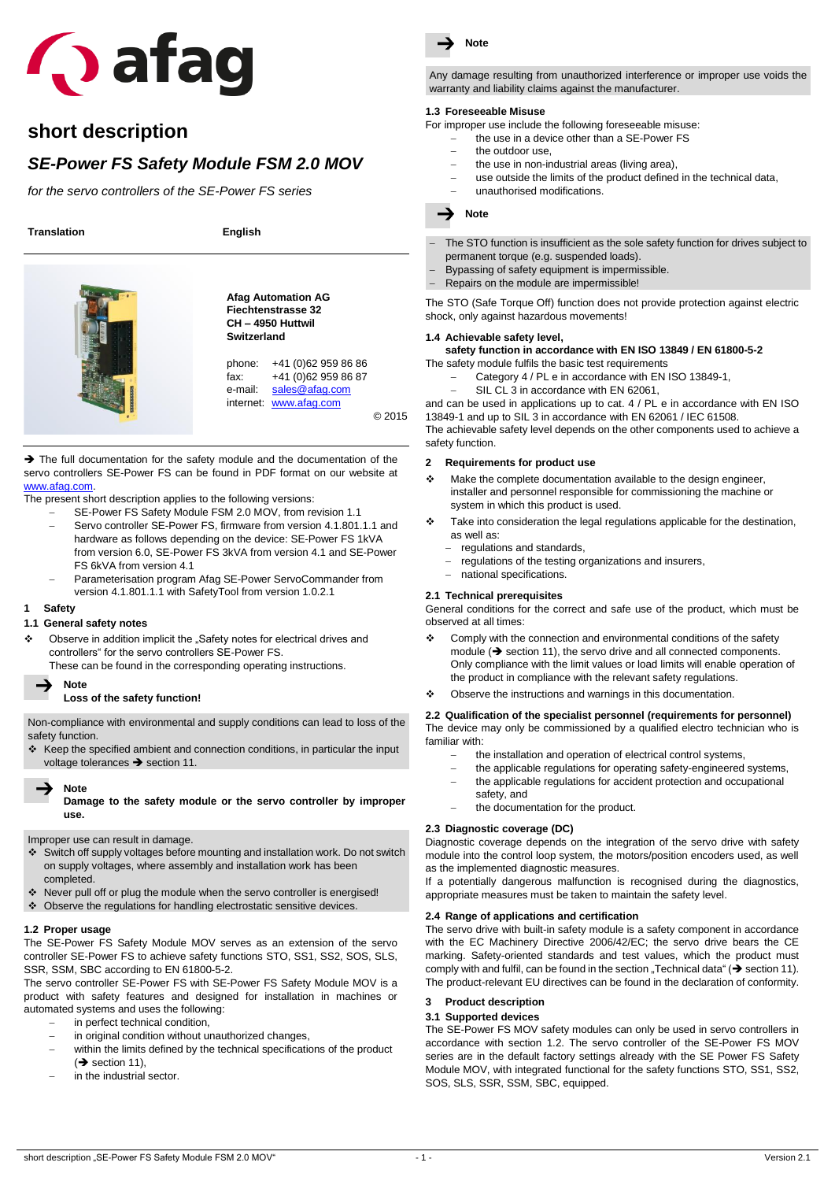

# **short description**

## *SE-Power FS Safety Module FSM 2.0 MOV*

*for the servo controllers of the SE-Power FS series*



 $\rightarrow$  The full documentation for the safety module and the documentation of the servo controllers SE-Power FS can be found in PDF format on our website at [www.afag.com.](http://www.afag.com/)

The present short description applies to the following versions:

- SE-Power FS Safety Module FSM 2.0 MOV, from revision 1.1 Servo controller SE-Power FS, firmware from version 4.1.801.1.1 and hardware as follows depending on the device: SE-Power FS 1kVA from version 6.0, SE-Power FS 3kVA from version 4.1 and SE-Power FS 6kVA from version 4.1
- Parameterisation program Afag SE-Power ServoCommander from version 4.1.801.1.1 with SafetyTool from version 1.0.2.1

## **1 Safety**

#### **1.1 General safety notes**

- Observe in addition implicit the "Safety notes for electrical drives and controllers" for the servo controllers SE-Power FS.
	- These can be found in the corresponding operating instructions.



## **Loss of the safety function!**

Non-compliance with environmental and supply conditions can lead to loss of the safety function.

 Keep the specified ambient and connection conditions, in particular the input voltage tolerances  $\rightarrow$  section 11.

## **Note**

**Damage to the safety module or the servo controller by improper use.**

Improper use can result in damage.

- Switch off supply voltages before mounting and installation work. Do not switch on supply voltages, where assembly and installation work has been completed.
- Never pull off or plug the module when the servo controller is energised!
- Observe the regulations for handling electrostatic sensitive devices.

#### **1.2 Proper usage**

The SE-Power FS Safety Module MOV serves as an extension of the servo controller SE-Power FS to achieve safety functions STO, SS1, SS2, SOS, SLS, SSR, SSM, SBC according to EN 61800-5-2.

The servo controller SE-Power FS with SE-Power FS Safety Module MOV is a product with safety features and designed for installation in machines or automated systems and uses the following:

- in perfect technical condition,
- in original condition without unauthorized changes.
- within the limits defined by the technical specifications of the product  $\leftrightarrow$  section 11).
- in the industrial sector.



Any damage resulting from unauthorized interference or improper use voids the warranty and liability claims against the manufacturer.

#### **1.3 Foreseeable Misuse**

For improper use include the following foreseeable misuse:

- the use in a device other than a SE-Power FS
- the outdoor use,
- the use in non-industrial areas (living area),
- use outside the limits of the product defined in the technical data,
- unauthorised modifications.

#### $\rightarrow$ **Note**

safety function.

- The STO function is insufficient as the sole safety function for drives subject to permanent torque (e.g. suspended loads). Bypassing of safety equipment is impermissible.

Repairs on the module are impermissible!

The STO (Safe Torque Off) function does not provide protection against electric shock, only against hazardous movements!

#### <span id="page-0-0"></span>**1.4 Achievable safety level,**

**safety function in accordance with EN ISO 13849 / EN 61800-5-2**

- The safety module fulfils the basic test requirements
	- Category 4 / PL e in accordance with EN ISO 13849-1,
	- SIL CL 3 in accordance with EN 62061,

and can be used in applications up to cat. 4 / PL e in accordance with EN ISO 13849-1 and up to SIL 3 in accordance with EN 62061 / IEC 61508. The achievable safety level depends on the other components used to achieve a

## **2 Requirements for product use**

- Make the complete documentation available to the design engineer, installer and personnel responsible for commissioning the machine or system in which this product is used.
- \* Take into consideration the legal regulations applicable for the destination, as well as:
	- regulations and standards.
	- regulations of the testing organizations and insurers,
	- national specifications.

#### **2.1 Technical prerequisites**

General conditions for the correct and safe use of the product, which must be observed at all times:

- Comply with the connection and environmental conditions of the safety module  $($   $\rightarrow$  section 11), the servo drive and all connected components. Only compliance with the limit values or load limits will enable operation of the product in compliance with the relevant safety regulations.
- \* Observe the instructions and warnings in this documentation.

#### **2.2 Qualification of the specialist personnel (requirements for personnel)** The device may only be commissioned by a qualified electro technician who is familiar with:

- the installation and operation of electrical control systems,
- the applicable regulations for operating safety-engineered systems,
- the applicable regulations for accident protection and occupational
- safety, and the documentation for the product.

## **2.3 Diagnostic coverage (DC)**

Diagnostic coverage depends on the integration of the servo drive with safety module into the control loop system, the motors/position encoders used, as well as the implemented diagnostic measures.

If a potentially dangerous malfunction is recognised during the diagnostics, appropriate measures must be taken to maintain the safety level.

#### **2.4 Range of applications and certification**

The servo drive with built-in safety module is a safety component in accordance with the EC Machinery Directive 2006/42/EC; the servo drive bears the CE marking. Safety-oriented standards and test values, which the product must comply with and fulfil, can be found in the section "Technical data" ( $\rightarrow$  section 11). The product-relevant EU directives can be found in the declaration of conformity.

#### **3 Product description**

#### **3.1 Supported devices**

The SE-Power FS MOV safety modules can only be used in servo controllers in accordance with section 1.2. The servo controller of the SE-Power FS MOV series are in the default factory settings already with the SE Power FS Safety Module MOV, with integrated functional for the safety functions STO, SS1, SS2, SOS, SLS, SSR, SSM, SBC, equipped.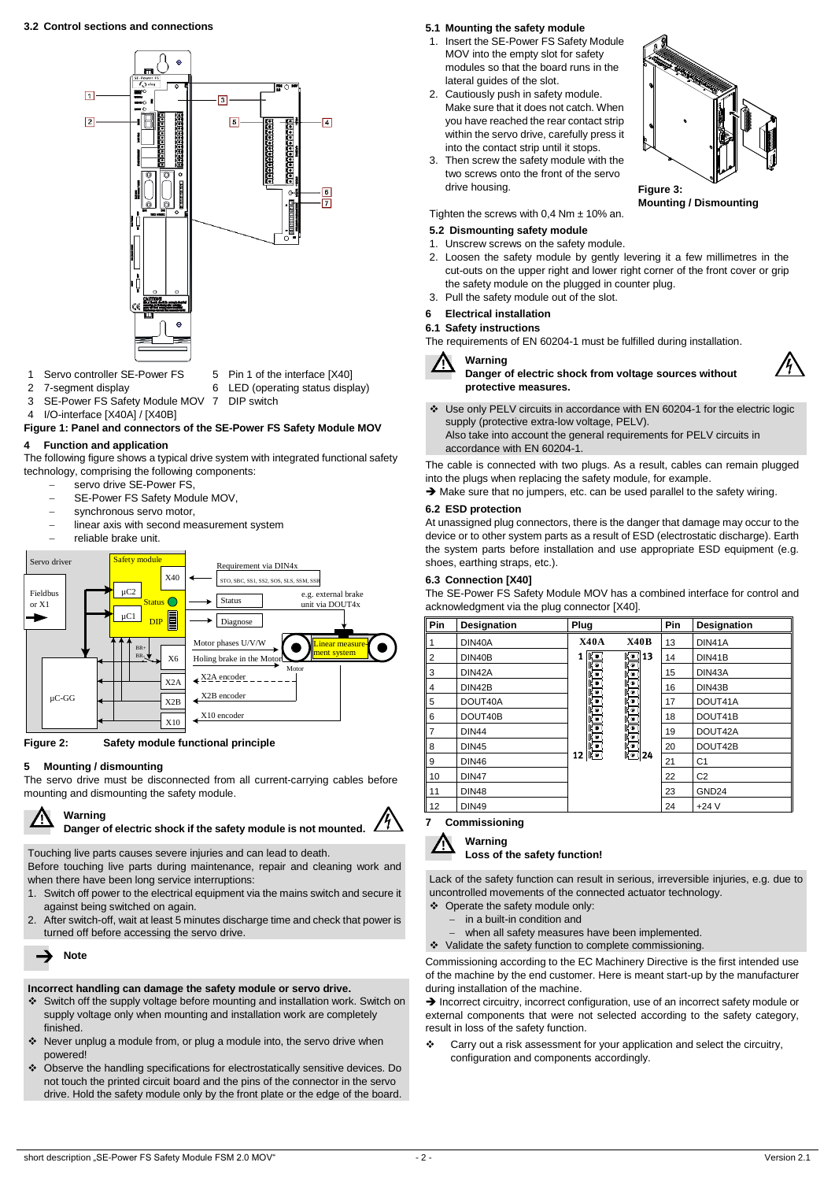

- 1 Servo controller SE-Power FS
	- 5 Pin 1 of the interface [X40]
- 2 7-segment display
- <span id="page-1-2"></span>6 LED (operating status display) DIP switch
- 3 SE-Power FS Safety Module MOV 4 I/O-interface [X40A] / [X40B]

**Figure 1: Panel and connectors of the SE-Power FS Safety Module MOV**

### **4 Function and application**

The following figure shows a typical drive system with integrated functional safety technology, comprising the following components:

- servo drive SE-Power FS,
- SE-Power FS Safety Module MOV,
- synchronous servo motor,
- linear axis with second measurement system
- reliable brake unit.



**Figure 2: Safety module functional principle**

#### <span id="page-1-0"></span>**5 Mounting / dismounting**

The servo drive must be disconnected from all current-carrying cables before mounting and dismounting the safety module.



## **Danger of electric shock if the safety module is not mounted.**

Touching live parts causes severe injuries and can lead to death.

Before touching live parts during maintenance, repair and cleaning work and when there have been long service interruptions:

- 1. Switch off power to the electrical equipment via the mains switch and secure it against being switched on again.
- 2. After switch-off, wait at least 5 minutes discharge time and check that power is turned off before accessing the servo drive.

**Note**

#### **Incorrect handling can damage the safety module or servo drive.**

- Switch off the supply voltage before mounting and installation work. Switch on supply voltage only when mounting and installation work are completely finished.
- \* Never unplug a module from, or plug a module into, the servo drive when powered!
- Observe the handling specifications for electrostatically sensitive devices. Do not touch the printed circuit board and the pins of the connector in the servo drive. Hold the safety module only by the front plate or the edge of the board.

#### **5.1 Mounting the safety module**

- 1. Insert the SE-Power FS Safety Module MOV into the empty slot for safety modules so that the board runs in the lateral guides of the slot.
- 2. Cautiously push in safety module. Make sure that it does not catch. When you have reached the rear contact strip within the servo drive, carefully press it into the contact strip until it stops.
- 3. Then screw the safety module with the two screws onto the front of the servo drive housing.

Tighten the screws with  $0.4$  Nm  $\pm$  10% an.

#### **5.2 Dismounting safety module**

- 1. Unscrew screws on the safety module.
- 2. Loosen the safety module by gently levering it a few millimetres in the cut-outs on the upper right and lower right corner of the front cover or grip the safety module on the plugged in counter plug.
- 3. Pull the safety module out of the slot.

### **6 Electrical installation**

#### **6.1 Safety instructions**

The requirements of EN 60204-1 must be fulfilled during installation.



**Warning Danger of electric shock from voltage sources without** 

- **protective measures.**
- Use only PELV circuits in accordance with EN 60204-1 for the electric logic supply (protective extra-low voltage, PELV).

Also take into account the general requirements for PELV circuits in accordance with EN 60204-1.

The cable is connected with two plugs. As a result, cables can remain plugged into the plugs when replacing the safety module, for example.

 $\rightarrow$  Make sure that no jumpers, etc. can be used parallel to the safety wiring.

### **6.2 ESD protection**

At unassigned plug connectors, there is the danger that damage may occur to the device or to other system parts as a result of ESD (electrostatic discharge). Earth the system parts before installation and use appropriate ESD equipment (e.g. shoes, earthing straps, etc.).

#### **6.3 Connection [X40]**

The SE-Power FS Safety Module MOV has a combined interface for control and acknowledgment via the plug connector [X40].

| Pin            | <b>Designation</b> | Plug                             |                              | Pin | Designation       |
|----------------|--------------------|----------------------------------|------------------------------|-----|-------------------|
| 1              | DIN40A             | <b>X40A</b>                      | X40B                         | 13  | DIN41A            |
| $\overline{2}$ | DIN40B             |                                  | 13<br>lk ⊗ (l                | 14  | DIN41B            |
| 3              | DIN42A             |                                  | <u>ြုံစံ</u><br>းေ           | 15  | DIN43A            |
| $\overline{4}$ | DIN42B             |                                  | ¦¦od<br>$\overline{\bullet}$ | 16  | DIN43B            |
| 5              | DOUT40A            | FFFFFFFFFFFFF<br>100000000000000 | ¦¦ol                         | 17  | DOUT41A           |
| 6              | DOUT40B            |                                  | ¦∦oo<br>$\bullet$            | 18  | DOUT41B           |
| $\overline{7}$ | <b>DIN44</b>       |                                  | ူ⊛∣                          | 19  | DOUT42A           |
| 8              | <b>DIN45</b>       |                                  | (* 14<br>Kol<br>Kol 24       | 20  | DOUT42B           |
| 9              | <b>DIN46</b>       | 12                               |                              | 21  | C <sub>1</sub>    |
| 10             | DIN <sub>47</sub>  |                                  |                              | 22  | C <sub>2</sub>    |
| 11             | <b>DIN48</b>       |                                  |                              | 23  | GND <sub>24</sub> |
| 12             | <b>DIN49</b>       |                                  |                              | 24  | $+24V$            |

<span id="page-1-1"></span>

**Warning**

**Loss of the safety function!** 

Lack of the safety function can result in serious, irreversible injuries, e.g. due to uncontrolled movements of the connected actuator technology.

- \* Operate the safety module only:
	- in a built-in condition and
- when all safety measures have been implemented. Validate the safety function to complete commissioning.

Commissioning according to the EC Machinery Directive is the first intended use of the machine by the end customer. Here is meant start-up by the manufacturer during installation of the machine.

→ Incorrect circuitry, incorrect configuration, use of an incorrect safety module or external components that were not selected according to the safety category, result in loss of the safety function.

\* Carry out a risk assessment for your application and select the circuitry, configuration and components accordingly.



**Mounting / Dismounting**

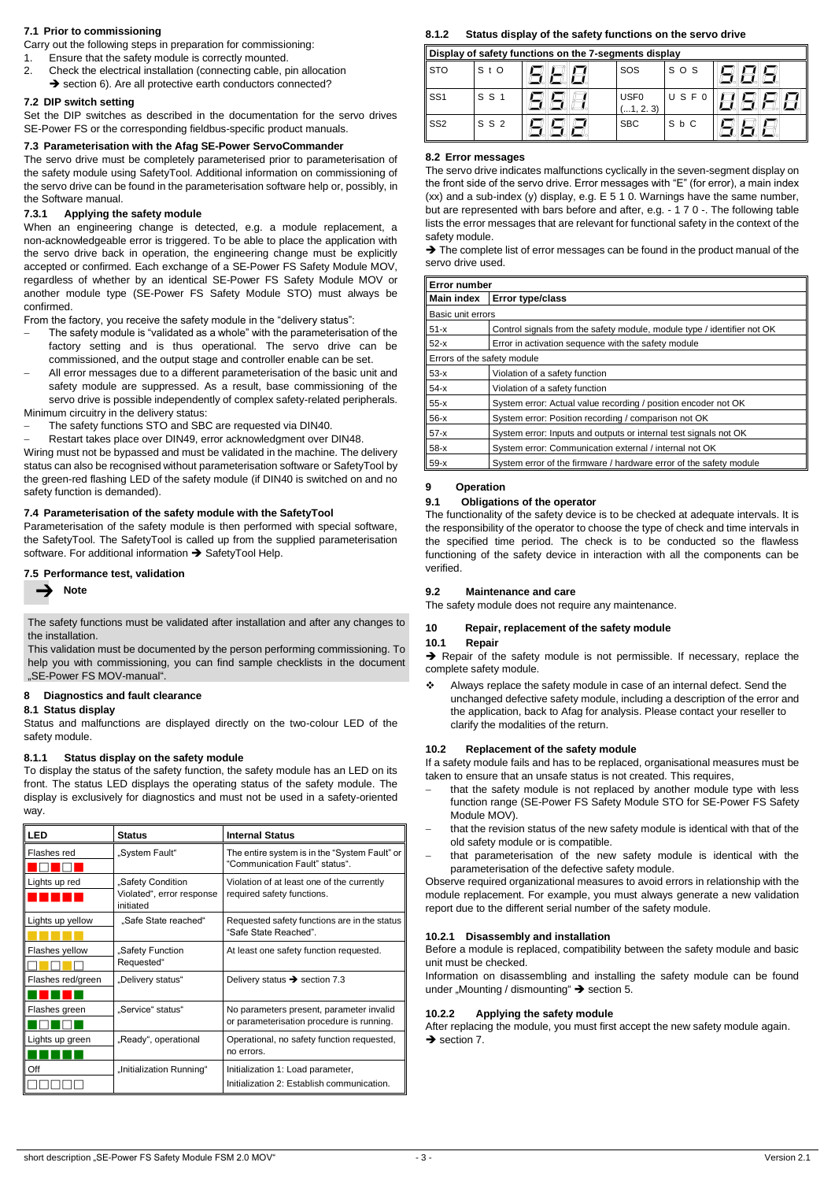#### **7.1 Prior to commissioning**

Carry out the following steps in preparation for commissioning:

- 1. Ensure that the safety module is correctly mounted.
- 2. Check the electrical installation (connecting cable, pin allocation  $\rightarrow$  section 6). Are all protective earth conductors connected?

#### **7.2 DIP switch setting**

Set the DIP switches as described in the documentation for the servo drives SE-Power FS or the corresponding fieldbus-specific product manuals.

#### <span id="page-2-0"></span>**7.3 Parameterisation with the Afag SE-Power ServoCommander**

The servo drive must be completely parameterised prior to parameterisation of the safety module using SafetyTool. Additional information on commissioning of the servo drive can be found in the parameterisation software help or, possibly, in the Software manual.

#### **7.3.1 Applying the safety module**

When an engineering change is detected, e.g. a module replacement, a non-acknowledgeable error is triggered. To be able to place the application with the servo drive back in operation, the engineering change must be explicitly accepted or confirmed. Each exchange of a SE-Power FS Safety Module MOV, regardless of whether by an identical SE-Power FS Safety Module MOV or another module type (SE-Power FS Safety Module STO) must always be confirmed.

From the factory, you receive the safety module in the "delivery status":

- The safety module is "validated as a whole" with the parameterisation of the factory setting and is thus operational. The servo drive can be commissioned, and the output stage and controller enable can be set.
- All error messages due to a different parameterisation of the basic unit and safety module are suppressed. As a result, base commissioning of the servo drive is possible independently of complex safety-related peripherals. Minimum circuitry in the delivery status:
- 
- The safety functions STO and SBC are requested via DIN40. Restart takes place over DIN49, error acknowledgment over DIN48.

Wiring must not be bypassed and must be validated in the machine. The delivery status can also be recognised without parameterisation software or SafetyTool by the green-red flashing LED of the safety module (if DIN40 is switched on and no safety function is demanded).

#### **7.4 Parameterisation of the safety module with the SafetyTool**

Parameterisation of the safety module is then performed with special software, the SafetyTool. The SafetyTool is called up from the supplied parameterisation software. For additional information  $\rightarrow$  SafetyTool Help.

| 7.5 Performance test, validation |  |
|----------------------------------|--|
| $\rightarrow$ Note               |  |

The safety functions must be validated after installation and after any changes to the installation.

This validation must be documented by the person performing commissioning. To help you with commissioning, you can find sample checklists in the document "SE-Power FS MOV-manual".

### **8 Diagnostics and fault clearance**

#### **8.1 Status display**

Status and malfunctions are displayed directly on the two-colour LED of the safety module.

#### **8.1.1 Status display on the safety module**

To display the status of the safety function, the safety module has an LED on its front. The status LED displays the operating status of the safety module. The display is exclusively for diagnostics and must not be used in a safety-oriented way.

| LED               | <b>Status</b>                                               | <b>Internal Status</b>                                                                |  |  |
|-------------------|-------------------------------------------------------------|---------------------------------------------------------------------------------------|--|--|
| Flashes red       | "System Fault"                                              | The entire system is in the "System Fault" or<br>"Communication Fault" status".       |  |  |
| Lights up red     | "Safety Condition<br>Violated", error response<br>initiated | Violation of at least one of the currently<br>required safety functions.              |  |  |
| Lights up yellow  | "Safe State reached"                                        | Requested safety functions are in the status<br>"Safe State Reached".                 |  |  |
| Flashes yellow    | "Safety Function<br>Requested"                              | At least one safety function requested.                                               |  |  |
| Flashes red/green | "Delivery status"                                           | Delivery status $\rightarrow$ section 7.3                                             |  |  |
| Flashes green     | "Service" status"                                           | No parameters present, parameter invalid<br>or parameterisation procedure is running. |  |  |
| Lights up green   | "Ready", operational                                        | Operational, no safety function requested,<br>no errors.                              |  |  |
| Off               | "Initialization Running"                                    | Initialization 1: Load parameter,<br>Initialization 2: Establish communication.       |  |  |

#### **8.1.2 Status display of the safety functions on the servo drive**

| Display of safety functions on the 7-segments display |                 |  |                               |       |  |
|-------------------------------------------------------|-----------------|--|-------------------------------|-------|--|
| <b>I</b> STO                                          | S <sub>tO</sub> |  | SOS                           | SOS   |  |
| SS <sub>1</sub>                                       | S S 1           |  | USF <sub>0</sub><br>(1, 2, 3) | USF0  |  |
| SS <sub>2</sub>                                       | S S 2           |  | <b>SBC</b>                    | S b C |  |

#### **8.2 Error messages**

The servo drive indicates malfunctions cyclically in the seven-segment display on the front side of the servo drive. Error messages with "E" (for error), a main index (xx) and a sub-index (y) display, e.g. E 5 1 0. Warnings have the same number, but are represented with bars before and after, e.g. - 1 7 0 -. The following table lists the error messages that are relevant for functional safety in the context of the safety module.

The complete list of error messages can be found in the product manual of the servo drive used.

| <b>Error number</b> |                                                                         |  |  |  |  |
|---------------------|-------------------------------------------------------------------------|--|--|--|--|
| Main index          | <b>Error type/class</b>                                                 |  |  |  |  |
|                     | Basic unit errors                                                       |  |  |  |  |
| $51-x$              | Control signals from the safety module, module type / identifier not OK |  |  |  |  |
| $52-x$              | Error in activation sequence with the safety module                     |  |  |  |  |
|                     | Errors of the safety module                                             |  |  |  |  |
| $53-x$              | Violation of a safety function                                          |  |  |  |  |
| $54-x$              | Violation of a safety function                                          |  |  |  |  |
| $55-x$              | System error: Actual value recording / position encoder not OK          |  |  |  |  |
| $56-x$              | System error: Position recording / comparison not OK                    |  |  |  |  |
| $57-x$              | System error: Inputs and outputs or internal test signals not OK        |  |  |  |  |
| $58-x$              | System error: Communication external / internal not OK                  |  |  |  |  |
| $59-x$              | System error of the firmware / hardware error of the safety module      |  |  |  |  |

#### **9 Operation**

#### **9.1 Obligations of the operator**

The functionality of the safety device is to be checked at adequate intervals. It is the responsibility of the operator to choose the type of check and time intervals in the specified time period. The check is to be conducted so the flawless functioning of the safety device in interaction with all the components can be verified.

#### **9.2 Maintenance and care**

The safety module does not require any maintenance.

#### **10 Repair, replacement of the safety module**

#### **10.1 Repair**

Repair of the safety module is not permissible. If necessary, replace the complete safety module.

 Always replace the safety module in case of an internal defect. Send the unchanged defective safety module, including a description of the error and the application, back to Afag for analysis. Please contact your reseller to clarify the modalities of the return.

#### **10.2 Replacement of the safety module**

If a safety module fails and has to be replaced, organisational measures must be taken to ensure that an unsafe status is not created. This requires,

- that the safety module is not replaced by another module type with less function range (SE-Power FS Safety Module STO for SE-Power FS Safety Module MOV).
- that the revision status of the new safety module is identical with that of the old safety module or is compatible.
- that parameterisation of the new safety module is identical with the parameterisation of the defective safety module.

Observe required organizational measures to avoid errors in relationship with the module replacement. For example, you must always generate a new validation report due to the different serial number of the safety module.

#### **10.2.1 Disassembly and installation**

Before a module is replaced, compatibility between the safety module and basic unit must be checked.

Information on disassembling and installing the safety module can be found under ["Mounting / dismounting"](#page-1-0)  $\rightarrow$  section [5.](#page-1-0)

#### **10.2.2 Applying the safety module**

After replacing the module, you must first accept the new safety module again.  $\rightarrow$  section [7.](#page-1-1)